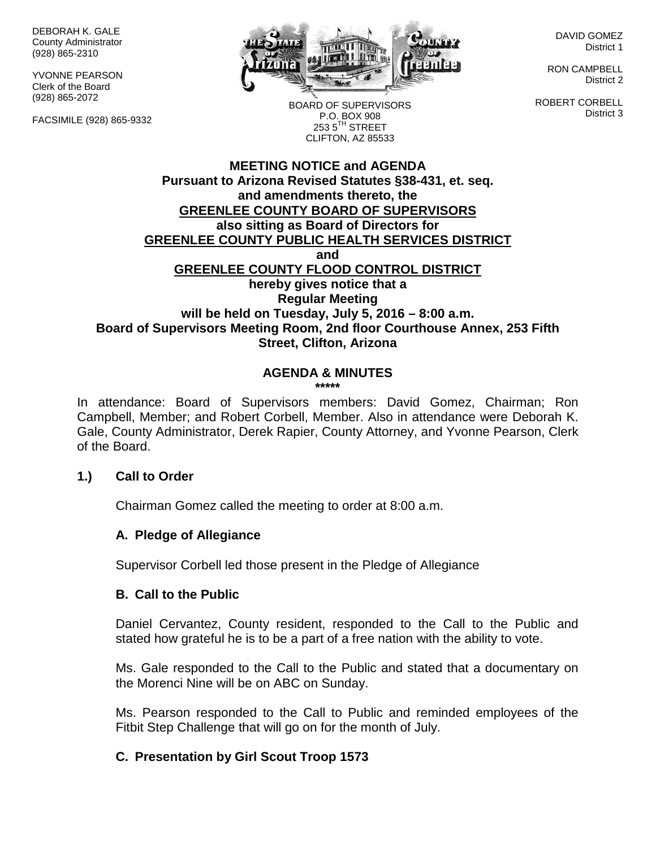DEBORAH K. GALE County Administrator (928) 865-2310

YVONNE PEARSON Clerk of the Board (928) 865-2072

FACSIMILE (928) 865-9332



DAVID GOMEZ District 1

RON CAMPBELL District 2

ROBERT CORBELL District 3

BOARD OF SUPERVISORS P.O. BOX 908  $253.5$ <sup>TH</sup> STREET CLIFTON, AZ 85533

#### **MEETING NOTICE and AGENDA Pursuant to Arizona Revised Statutes §38-431, et. seq. and amendments thereto, the GREENLEE COUNTY BOARD OF SUPERVISORS also sitting as Board of Directors for GREENLEE COUNTY PUBLIC HEALTH SERVICES DISTRICT and GREENLEE COUNTY FLOOD CONTROL DISTRICT hereby gives notice that a Regular Meeting will be held on Tuesday, July 5, 2016 – 8:00 a.m. Board of Supervisors Meeting Room, 2nd floor Courthouse Annex, 253 Fifth Street, Clifton, Arizona**

# **AGENDA & MINUTES**

**\*\*\*\*\***

In attendance: Board of Supervisors members: David Gomez, Chairman; Ron Campbell, Member; and Robert Corbell, Member. Also in attendance were Deborah K. Gale, County Administrator, Derek Rapier, County Attorney, and Yvonne Pearson, Clerk of the Board.

#### **1.) Call to Order**

Chairman Gomez called the meeting to order at 8:00 a.m.

## **A. Pledge of Allegiance**

Supervisor Corbell led those present in the Pledge of Allegiance

#### **B. Call to the Public**

Daniel Cervantez, County resident, responded to the Call to the Public and stated how grateful he is to be a part of a free nation with the ability to vote.

Ms. Gale responded to the Call to the Public and stated that a documentary on the Morenci Nine will be on ABC on Sunday.

Ms. Pearson responded to the Call to Public and reminded employees of the Fitbit Step Challenge that will go on for the month of July.

# **C. Presentation by Girl Scout Troop 1573**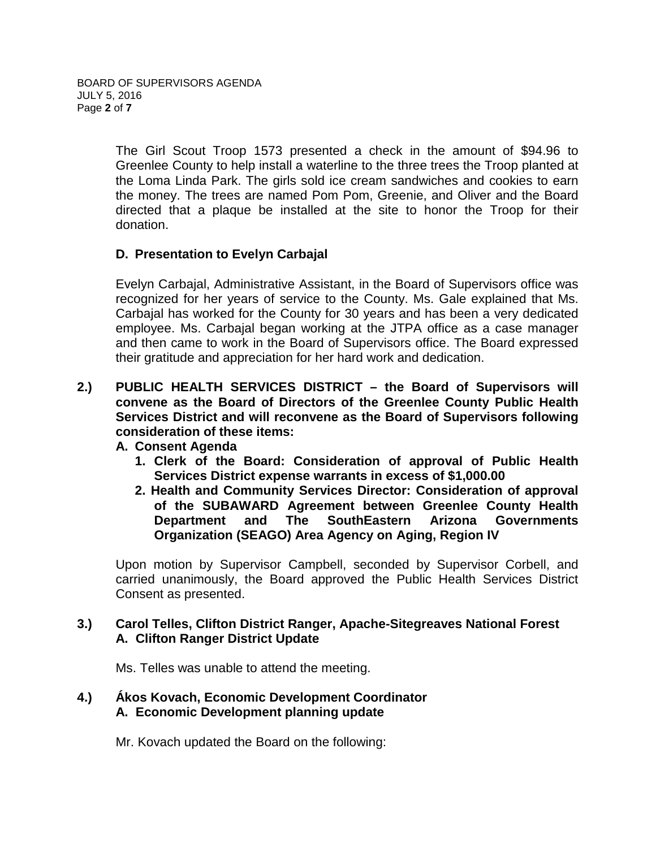The Girl Scout Troop 1573 presented a check in the amount of \$94.96 to Greenlee County to help install a waterline to the three trees the Troop planted at the Loma Linda Park. The girls sold ice cream sandwiches and cookies to earn the money. The trees are named Pom Pom, Greenie, and Oliver and the Board directed that a plaque be installed at the site to honor the Troop for their donation.

## **D. Presentation to Evelyn Carbajal**

Evelyn Carbajal, Administrative Assistant, in the Board of Supervisors office was recognized for her years of service to the County. Ms. Gale explained that Ms. Carbajal has worked for the County for 30 years and has been a very dedicated employee. Ms. Carbajal began working at the JTPA office as a case manager and then came to work in the Board of Supervisors office. The Board expressed their gratitude and appreciation for her hard work and dedication.

**2.) PUBLIC HEALTH SERVICES DISTRICT – the Board of Supervisors will convene as the Board of Directors of the Greenlee County Public Health Services District and will reconvene as the Board of Supervisors following consideration of these items:**

## **A. Consent Agenda**

- **1. Clerk of the Board: Consideration of approval of Public Health Services District expense warrants in excess of \$1,000.00**
- **2. Health and Community Services Director: Consideration of approval of the SUBAWARD Agreement between Greenlee County Health Department and The SouthEastern Arizona Governments Organization (SEAGO) Area Agency on Aging, Region IV**

Upon motion by Supervisor Campbell, seconded by Supervisor Corbell, and carried unanimously, the Board approved the Public Health Services District Consent as presented.

## **3.) Carol Telles, Clifton District Ranger, Apache-Sitegreaves National Forest A. Clifton Ranger District Update**

Ms. Telles was unable to attend the meeting.

## **4.) Ákos Kovach, Economic Development Coordinator A. Economic Development planning update**

Mr. Kovach updated the Board on the following: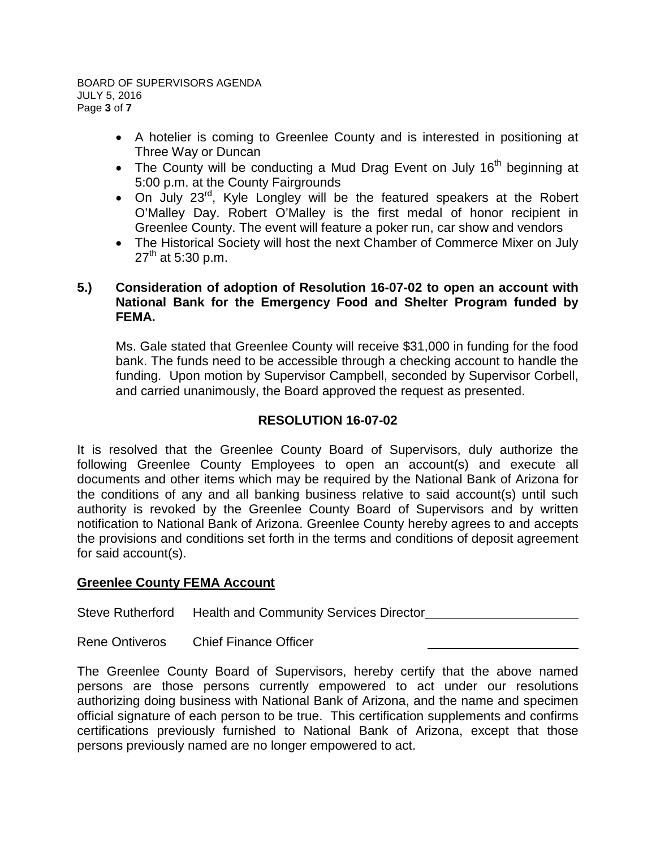- A hotelier is coming to Greenlee County and is interested in positioning at Three Way or Duncan
- The County will be conducting a Mud Drag Event on July  $16<sup>th</sup>$  beginning at 5:00 p.m. at the County Fairgrounds
- On July 23<sup>rd</sup>, Kyle Longley will be the featured speakers at the Robert O'Malley Day. Robert O'Malley is the first medal of honor recipient in Greenlee County. The event will feature a poker run, car show and vendors
- The Historical Society will host the next Chamber of Commerce Mixer on July  $27^{th}$  at 5:30 p.m.

## **5.) Consideration of adoption of Resolution 16-07-02 to open an account with National Bank for the Emergency Food and Shelter Program funded by FEMA.**

Ms. Gale stated that Greenlee County will receive \$31,000 in funding for the food bank. The funds need to be accessible through a checking account to handle the funding. Upon motion by Supervisor Campbell, seconded by Supervisor Corbell, and carried unanimously, the Board approved the request as presented.

# **RESOLUTION 16-07-02**

It is resolved that the Greenlee County Board of Supervisors, duly authorize the following Greenlee County Employees to open an account(s) and execute all documents and other items which may be required by the National Bank of Arizona for the conditions of any and all banking business relative to said account(s) until such authority is revoked by the Greenlee County Board of Supervisors and by written notification to National Bank of Arizona. Greenlee County hereby agrees to and accepts the provisions and conditions set forth in the terms and conditions of deposit agreement for said account(s).

## **Greenlee County FEMA Account**

Steve Rutherford Health and Community Services Director

Rene Ontiveros Chief Finance Officer

The Greenlee County Board of Supervisors, hereby certify that the above named persons are those persons currently empowered to act under our resolutions authorizing doing business with National Bank of Arizona, and the name and specimen official signature of each person to be true. This certification supplements and confirms certifications previously furnished to National Bank of Arizona, except that those persons previously named are no longer empowered to act.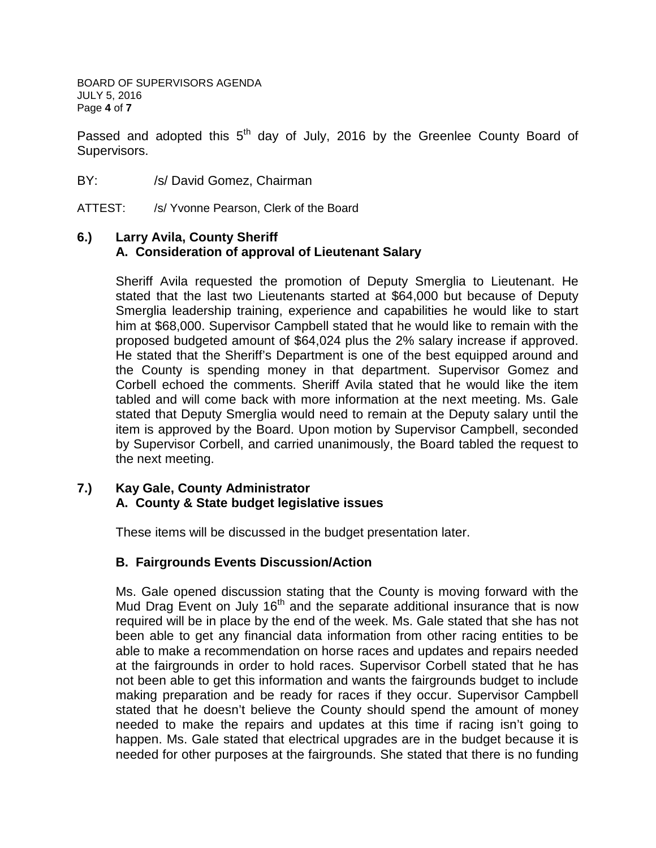BOARD OF SUPERVISORS AGENDA JULY 5, 2016 Page **4** of **7**

Passed and adopted this  $5<sup>th</sup>$  day of July, 2016 by the Greenlee County Board of Supervisors.

BY: /s/ David Gomez, Chairman

ATTEST: /s/ Yvonne Pearson, Clerk of the Board

## **6.) Larry Avila, County Sheriff A. Consideration of approval of Lieutenant Salary**

Sheriff Avila requested the promotion of Deputy Smerglia to Lieutenant. He stated that the last two Lieutenants started at \$64,000 but because of Deputy Smerglia leadership training, experience and capabilities he would like to start him at \$68,000. Supervisor Campbell stated that he would like to remain with the proposed budgeted amount of \$64,024 plus the 2% salary increase if approved. He stated that the Sheriff's Department is one of the best equipped around and the County is spending money in that department. Supervisor Gomez and Corbell echoed the comments. Sheriff Avila stated that he would like the item tabled and will come back with more information at the next meeting. Ms. Gale stated that Deputy Smerglia would need to remain at the Deputy salary until the item is approved by the Board. Upon motion by Supervisor Campbell, seconded by Supervisor Corbell, and carried unanimously, the Board tabled the request to the next meeting.

#### **7.) Kay Gale, County Administrator A. County & State budget legislative issues**

These items will be discussed in the budget presentation later.

## **B. Fairgrounds Events Discussion/Action**

Ms. Gale opened discussion stating that the County is moving forward with the Mud Drag Event on July 16<sup>th</sup> and the separate additional insurance that is now required will be in place by the end of the week. Ms. Gale stated that she has not been able to get any financial data information from other racing entities to be able to make a recommendation on horse races and updates and repairs needed at the fairgrounds in order to hold races. Supervisor Corbell stated that he has not been able to get this information and wants the fairgrounds budget to include making preparation and be ready for races if they occur. Supervisor Campbell stated that he doesn't believe the County should spend the amount of money needed to make the repairs and updates at this time if racing isn't going to happen. Ms. Gale stated that electrical upgrades are in the budget because it is needed for other purposes at the fairgrounds. She stated that there is no funding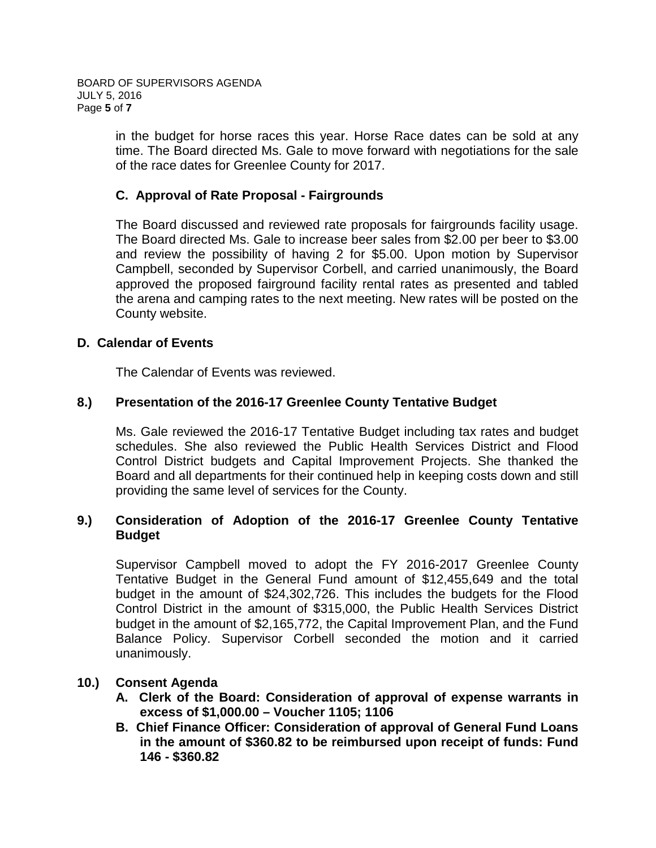BOARD OF SUPERVISORS AGENDA JULY 5, 2016 Page **5** of **7**

> in the budget for horse races this year. Horse Race dates can be sold at any time. The Board directed Ms. Gale to move forward with negotiations for the sale of the race dates for Greenlee County for 2017.

#### **C. Approval of Rate Proposal - Fairgrounds**

The Board discussed and reviewed rate proposals for fairgrounds facility usage. The Board directed Ms. Gale to increase beer sales from \$2.00 per beer to \$3.00 and review the possibility of having 2 for \$5.00. Upon motion by Supervisor Campbell, seconded by Supervisor Corbell, and carried unanimously, the Board approved the proposed fairground facility rental rates as presented and tabled the arena and camping rates to the next meeting. New rates will be posted on the County website.

#### **D. Calendar of Events**

The Calendar of Events was reviewed.

#### **8.) Presentation of the 2016-17 Greenlee County Tentative Budget**

Ms. Gale reviewed the 2016-17 Tentative Budget including tax rates and budget schedules. She also reviewed the Public Health Services District and Flood Control District budgets and Capital Improvement Projects. She thanked the Board and all departments for their continued help in keeping costs down and still providing the same level of services for the County.

## **9.) Consideration of Adoption of the 2016-17 Greenlee County Tentative Budget**

Supervisor Campbell moved to adopt the FY 2016-2017 Greenlee County Tentative Budget in the General Fund amount of \$12,455,649 and the total budget in the amount of \$24,302,726. This includes the budgets for the Flood Control District in the amount of \$315,000, the Public Health Services District budget in the amount of \$2,165,772, the Capital Improvement Plan, and the Fund Balance Policy. Supervisor Corbell seconded the motion and it carried unanimously.

#### **10.) Consent Agenda**

- **A. Clerk of the Board: Consideration of approval of expense warrants in excess of \$1,000.00 – Voucher 1105; 1106**
- **B. Chief Finance Officer: Consideration of approval of General Fund Loans in the amount of \$360.82 to be reimbursed upon receipt of funds: Fund 146 - \$360.82**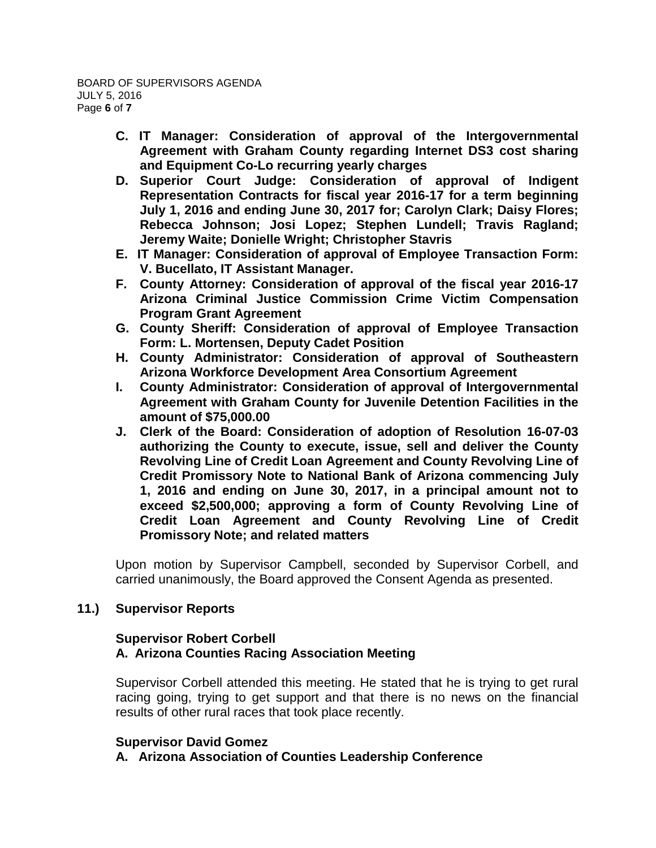- **C. IT Manager: Consideration of approval of the Intergovernmental Agreement with Graham County regarding Internet DS3 cost sharing and Equipment Co-Lo recurring yearly charges**
- **D. Superior Court Judge: Consideration of approval of Indigent Representation Contracts for fiscal year 2016-17 for a term beginning July 1, 2016 and ending June 30, 2017 for; Carolyn Clark; Daisy Flores; Rebecca Johnson; Josi Lopez; Stephen Lundell; Travis Ragland; Jeremy Waite; Donielle Wright; Christopher Stavris**
- **E. IT Manager: Consideration of approval of Employee Transaction Form: V. Bucellato, IT Assistant Manager.**
- **F. County Attorney: Consideration of approval of the fiscal year 2016-17 Arizona Criminal Justice Commission Crime Victim Compensation Program Grant Agreement**
- **G. County Sheriff: Consideration of approval of Employee Transaction Form: L. Mortensen, Deputy Cadet Position**
- **H. County Administrator: Consideration of approval of Southeastern Arizona Workforce Development Area Consortium Agreement**
- **I. County Administrator: Consideration of approval of Intergovernmental Agreement with Graham County for Juvenile Detention Facilities in the amount of \$75,000.00**
- **J. Clerk of the Board: Consideration of adoption of Resolution 16-07-03 authorizing the County to execute, issue, sell and deliver the County Revolving Line of Credit Loan Agreement and County Revolving Line of Credit Promissory Note to National Bank of Arizona commencing July 1, 2016 and ending on June 30, 2017, in a principal amount not to exceed \$2,500,000; approving a form of County Revolving Line of Credit Loan Agreement and County Revolving Line of Credit Promissory Note; and related matters**

Upon motion by Supervisor Campbell, seconded by Supervisor Corbell, and carried unanimously, the Board approved the Consent Agenda as presented.

# **11.) Supervisor Reports**

## **Supervisor Robert Corbell A. Arizona Counties Racing Association Meeting**

Supervisor Corbell attended this meeting. He stated that he is trying to get rural racing going, trying to get support and that there is no news on the financial results of other rural races that took place recently.

## **Supervisor David Gomez**

**A. Arizona Association of Counties Leadership Conference**